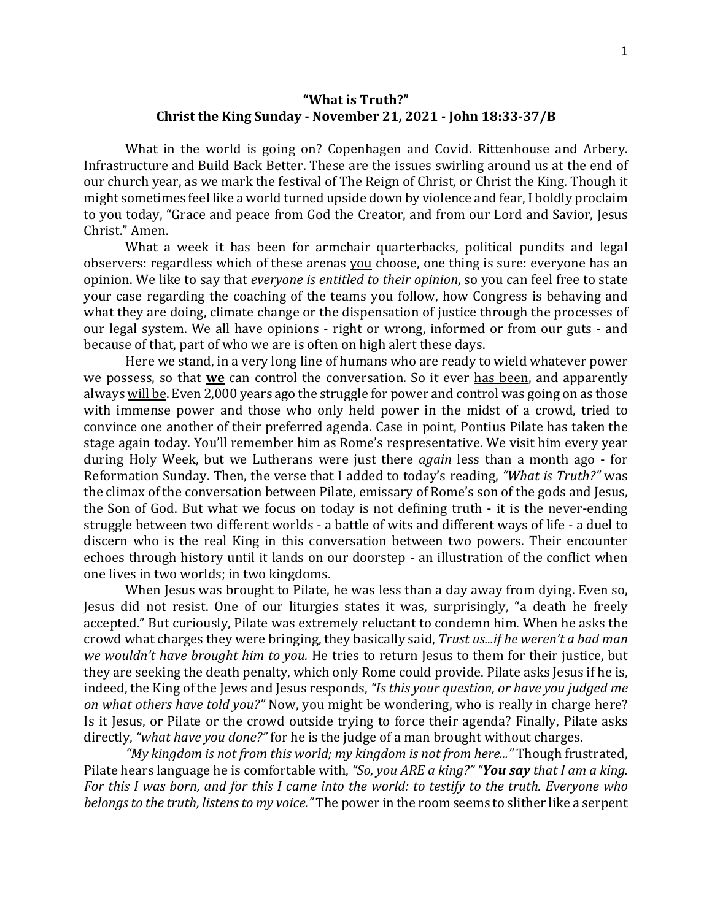## **"What is Truth?" Christ the King Sunday - November 21, 2021 - John 18:33-37/B**

What in the world is going on? Copenhagen and Covid. Rittenhouse and Arbery. Infrastructure and Build Back Better. These are the issues swirling around us at the end of our church year, as we mark the festival of The Reign of Christ, or Christ the King. Though it might sometimes feel like a world turned upside down by violence and fear, I boldly proclaim to you today, "Grace and peace from God the Creator, and from our Lord and Savior, Jesus Christ." Amen.

What a week it has been for armchair quarterbacks, political pundits and legal observers: regardless which of these arenas you choose, one thing is sure: everyone has an opinion. We like to say that *everyone is entitled to their opinion*, so you can feel free to state your case regarding the coaching of the teams you follow, how Congress is behaving and what they are doing, climate change or the dispensation of justice through the processes of our legal system. We all have opinions - right or wrong, informed or from our guts - and because of that, part of who we are is often on high alert these days.

Here we stand, in a very long line of humans who are ready to wield whatever power we possess, so that **we** can control the conversation. So it ever has been, and apparently always will be. Even 2,000 years ago the struggle for power and control was going on as those with immense power and those who only held power in the midst of a crowd, tried to convince one another of their preferred agenda. Case in point, Pontius Pilate has taken the stage again today. You'll remember him as Rome's respresentative. We visit him every year during Holy Week, but we Lutherans were just there *again* less than a month ago - for Reformation Sunday. Then, the verse that I added to today's reading, "*What is Truth?"* was the climax of the conversation between Pilate, emissary of Rome's son of the gods and Jesus, the Son of God. But what we focus on today is not defining truth - it is the never-ending struggle between two different worlds - a battle of wits and different ways of life - a duel to discern who is the real King in this conversation between two powers. Their encounter echoes through history until it lands on our doorstep - an illustration of the conflict when one lives in two worlds; in two kingdoms.

When Jesus was brought to Pilate, he was less than a day away from dying. Even so, Jesus did not resist. One of our liturgies states it was, surprisingly, "a death he freely accepted." But curiously, Pilate was extremely reluctant to condemn him. When he asks the crowd what charges they were bringing, they basically said, *Trust us...if he weren't a bad man we wouldn't have brought him to you.* He tries to return Jesus to them for their justice, but they are seeking the death penalty, which only Rome could provide. Pilate asks Jesus if he is, indeed, the King of the Jews and Jesus responds, "Is this your question, or have you judged me *on* what others have told you?" Now, you might be wondering, who is really in charge here? Is it Jesus, or Pilate or the crowd outside trying to force their agenda? Finally, Pilate asks directly, "what have you done?" for he is the judge of a man brought without charges.

"My kingdom is not from this world; my kingdom is not from here..." Though frustrated, Pilate hears language he is comfortable with, "So, you ARE a king?" "**You say** that I am a king. For this I was born, and for this I came into the world: to testify to the truth. Everyone who *belongs* to the truth, listens to my voice." The power in the room seems to slither like a serpent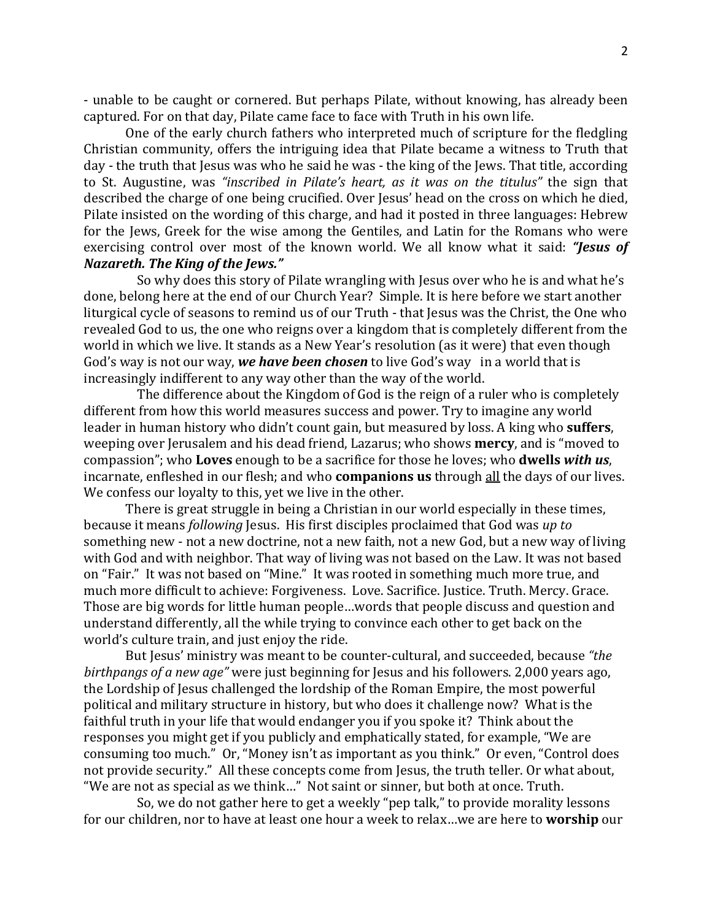- unable to be caught or cornered. But perhaps Pilate, without knowing, has already been captured. For on that day, Pilate came face to face with Truth in his own life.

One of the early church fathers who interpreted much of scripture for the fledgling Christian community, offers the intriguing idea that Pilate became a witness to Truth that day - the truth that Jesus was who he said he was - the king of the Jews. That title, according to St. Augustine, was *"inscribed in Pilate's heart, as it was on the titulus"* the sign that described the charge of one being crucified. Over Jesus' head on the cross on which he died, Pilate insisted on the wording of this charge, and had it posted in three languages: Hebrew for the Jews, Greek for the wise among the Gentiles, and Latin for the Romans who were exercising control over most of the known world. We all know what it said: "Jesus of *Nazareth.* The King of the Jews."

So why does this story of Pilate wrangling with Jesus over who he is and what he's done, belong here at the end of our Church Year? Simple. It is here before we start another liturgical cycle of seasons to remind us of our Truth - that Jesus was the Christ, the One who revealed God to us, the one who reigns over a kingdom that is completely different from the world in which we live. It stands as a New Year's resolution (as it were) that even though God's way is not our way, *we have been chosen* to live God's way in a world that is increasingly indifferent to any way other than the way of the world.

The difference about the Kingdom of God is the reign of a ruler who is completely different from how this world measures success and power. Try to imagine any world leader in human history who didn't count gain, but measured by loss. A king who **suffers**, weeping over Jerusalem and his dead friend, Lazarus; who shows **mercy**, and is "moved to compassion"; who **Loves** enough to be a sacrifice for those he loves; who **dwells with us**, incarnate, enfleshed in our flesh; and who **companions us** through all the days of our lives. We confess our loyalty to this, yet we live in the other.

There is great struggle in being a Christian in our world especially in these times, because it means *following* Jesus. His first disciples proclaimed that God was up to something new - not a new doctrine, not a new faith, not a new God, but a new way of living with God and with neighbor. That way of living was not based on the Law. It was not based on "Fair." It was not based on "Mine." It was rooted in something much more true, and much more difficult to achieve: Forgiveness. Love. Sacrifice. Justice. Truth. Mercy. Grace. Those are big words for little human people...words that people discuss and question and understand differently, all the while trying to convince each other to get back on the world's culture train, and just enjoy the ride.

But Jesus' ministry was meant to be counter-cultural, and succeeded, because "*the birthpangs of a new age"* were just beginning for Jesus and his followers. 2,000 years ago, the Lordship of Jesus challenged the lordship of the Roman Empire, the most powerful political and military structure in history, but who does it challenge now? What is the faithful truth in your life that would endanger you if you spoke it? Think about the responses you might get if you publicly and emphatically stated, for example, "We are consuming too much." Or, "Money isn't as important as you think." Or even, "Control does not provide security." All these concepts come from Jesus, the truth teller. Or what about, "We are not as special as we think..." Not saint or sinner, but both at once. Truth.

So, we do not gather here to get a weekly "pep talk," to provide morality lessons for our children, nor to have at least one hour a week to relax...we are here to **worship** our